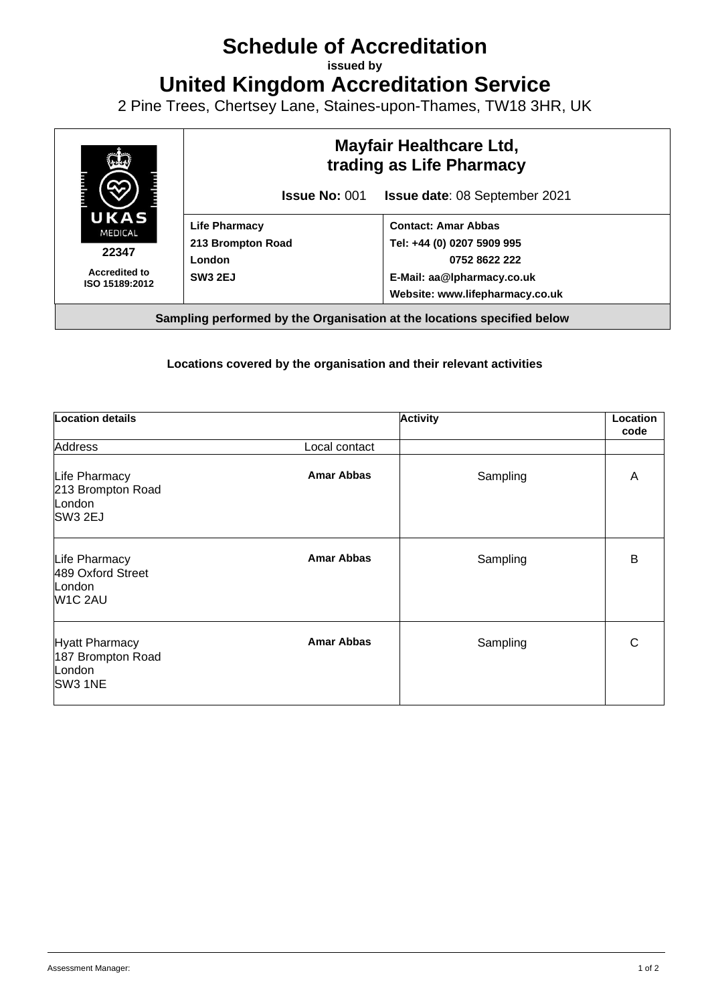## **Schedule of Accreditation**

**issued by**

**United Kingdom Accreditation Service**

2 Pine Trees, Chertsey Lane, Staines-upon-Thames, TW18 3HR, UK



## **Locations covered by the organisation and their relevant activities**

| Location details                                                    |                   | <b>Activity</b> | Location<br>code |
|---------------------------------------------------------------------|-------------------|-----------------|------------------|
| <b>Address</b>                                                      | Local contact     |                 |                  |
| Life Pharmacy<br>213 Brompton Road<br>London<br>SW <sub>3</sub> 2EJ | <b>Amar Abbas</b> | Sampling        | A                |
| Life Pharmacy<br>489 Oxford Street<br>London<br>W1C 2AU             | <b>Amar Abbas</b> | Sampling        | B                |
| <b>Hyatt Pharmacy</b><br>187 Brompton Road<br>London<br>SW3 1NE     | <b>Amar Abbas</b> | Sampling        | C                |